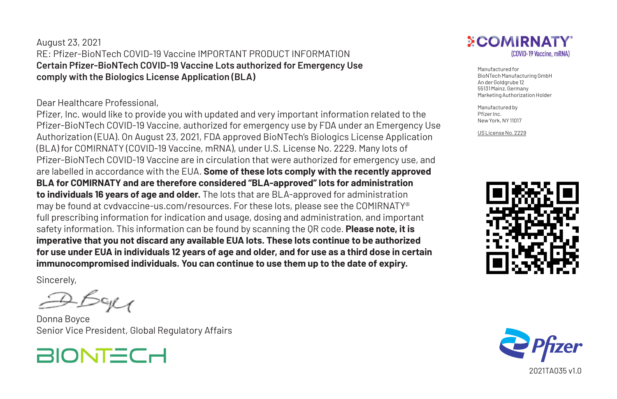## August 23, 2021 RE: Pfizer-BioNTech COVID-19 Vaccine IMPORTANT PRODUCT INFORMATION **Certain Pfizer-BioNTech COVID-19 Vaccine Lots authorized for Emergency Use comply with the Biologics License Application (BLA)**

## Dear Healthcare Professional,

Pfizer, Inc. would like to provide you with updated and very important information related to the Pfizer-BioNTech COVID-19 Vaccine, authorized for emergency use by FDA under an Emergency Use Authorization (EUA). On August 23, 2021, FDA approved BioNTech's Biologics License Application (BLA) for COMIRNATY (COVID-19 Vaccine, mRNA), under U.S. License No. 2229. Many lots of Pfizer-BioNTech COVID-19 Vaccine are in circulation that were authorized for emergency use, and are labelled in accordance with the EUA. **Some of these lots comply with the recently approved BLA for COMIRNATY and are therefore considered "BLA-approved" lots for administration to individuals 16 years of age and older.** The lots that are BLA-approved for administration may be found at cvdvaccine-us.com/resources. For these lots, please see the COMIRNATY® full prescribing information for indication and usage, dosing and administration, and important safety information. This information can be found by scanning the QR code. **Please note, it is imperative that you not discard any available EUA lots. These lots continue to be authorized for use under EUA in individuals 12 years of age and older, and for use as a third dose in certain immunocompromised individuals. You can continue to use them up to the date of expiry.**

Sincerely,

Donna Boyce Senior Vice President, Global Regulatory Affairs





Manufactured for BioNTech Manufacturing GmbH An der Goldgrube 12 55131 Mainz, Germany Marketing Authorization Holder

Manufactured by Pfizer Inc. New York, NY 11017

US License No. 2229